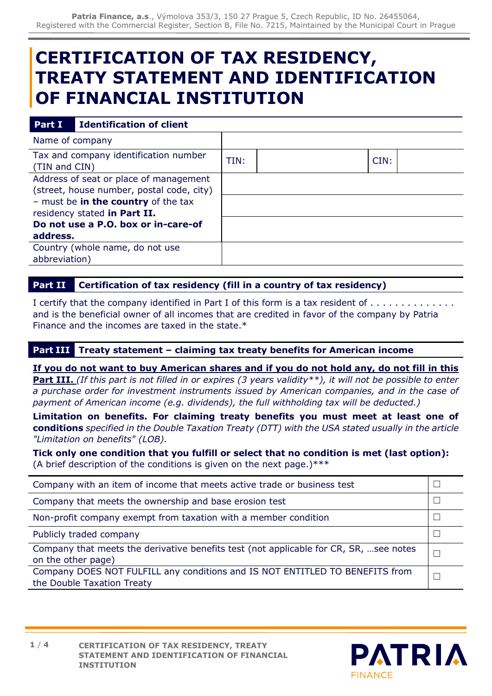# **CERTIFICATION OF TAX RESIDENCY, TREATY STATEMENT AND IDENTIFICATION OF FINANCIAL INSTITUTION**

#### **Part <b>I I Identification** of client

| Name of company                                                                                                                                                                                               |      |      |  |
|---------------------------------------------------------------------------------------------------------------------------------------------------------------------------------------------------------------|------|------|--|
| Tax and company identification number<br>(TIN and CIN)                                                                                                                                                        | TIN: | CIN: |  |
| Address of seat or place of management<br>(street, house number, postal code, city)<br>- must be in the country of the tax<br>residency stated in Part II.<br>Do not use a P.O. box or in-care-of<br>address. |      |      |  |
| Country (whole name, do not use<br>abbreviation)                                                                                                                                                              |      |      |  |
|                                                                                                                                                                                                               |      |      |  |

### **Part II Certification of tax residency (fill in a country of tax residency)**

I certify that the company identified in Part I of this form is a tax resident of . . . . and is the beneficial owner of all incomes that are credited in favor of the company by Patria Finance and the incomes are taxed in the state.\*

## **Part III Treaty statement – claiming tax treaty benefits for American income**

**If you do not want to buy American shares and if you do not hold any, do not fill in this Part III.** *(If this part is not filled in or expires (3 years validity\*\*), it will not be possible to enter a purchase order for investment instruments issued by American companies, and in the case of payment of American income (e.g. dividends), the full withholding tax will be deducted.)*

**Limitation on benefits. For claiming treaty benefits you must meet at least one of conditions** *specified in the Double Taxation Treaty (DTT) with the USA stated usually in the article "Limitation on benefits" (LOB).*

**Tick only one condition that you fulfill or select that no condition is met (last option):** (A brief description of the conditions is given on the next page.) \*\*\*

| Company with an item of income that meets active trade or business test                                     |  |  |
|-------------------------------------------------------------------------------------------------------------|--|--|
| Company that meets the ownership and base erosion test                                                      |  |  |
| Non-profit company exempt from taxation with a member condition                                             |  |  |
| Publicly traded company                                                                                     |  |  |
| Company that meets the derivative benefits test (not applicable for CR, SR, see notes<br>on the other page) |  |  |
| Company DOES NOT FULFILL any conditions and IS NOT ENTITLED TO BENEFITS from<br>the Double Taxation Treaty  |  |  |

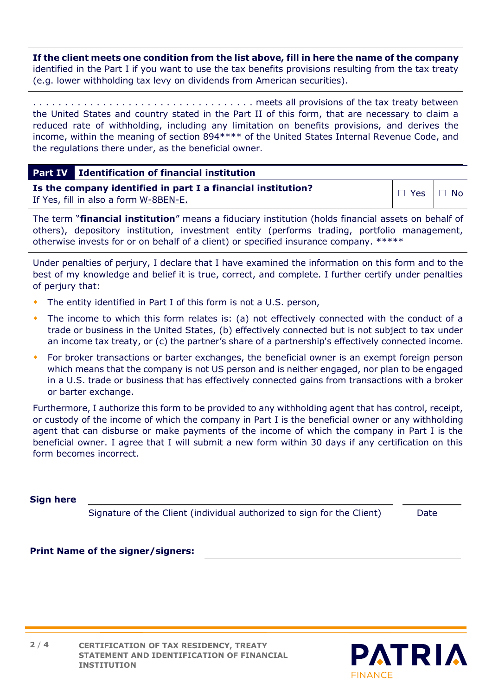**If the client meets one condition from the list above, fill in here the name of the company**  identified in the Part I if you want to use the tax benefits provisions resulting from the tax treaty (e.g. lower withholding tax levy on dividends from American securities).

. . . . . . . . . . . . . . . . . . . . . . . . . . . . . . . . . . . meets all provisions of the tax treaty between the United States and country stated in the Part II of this form, that are necessary to claim a reduced rate of withholding, including any limitation on benefits provisions, and derives the income, within the meaning of section 894\*\*\*\* of the United States Internal Revenue Code, and the regulations there under, as the beneficial owner.

| <b>Part IV</b> Identification of financial institution       |                      |  |
|--------------------------------------------------------------|----------------------|--|
| Is the company identified in part I a financial institution? | $\Box$ Yes $\Box$ No |  |
| If Yes, fill in also a form W-8BEN-E.                        |                      |  |

The term "**financial institution**" means a fiduciary institution (holds financial assets on behalf of others), depository institution, investment entity (performs trading, portfolio management, otherwise invests for or on behalf of a client) or specified insurance company. \*\*\*\*\*

Under penalties of perjury, I declare that I have examined the information on this form and to the best of my knowledge and belief it is true, correct, and complete. I further certify under penalties of perjury that:

- The entity identified in Part I of this form is not a U.S. person,
- The income to which this form relates is: (a) not effectively connected with the conduct of a trade or business in the United States, (b) effectively connected but is not subject to tax under an income tax treaty, or (c) the partner's share of a partnership's effectively connected income.
- For broker transactions or barter exchanges, the beneficial owner is an exempt foreign person which means that the company is not US person and is neither engaged, nor plan to be engaged in a U.S. trade or business that has effectively connected gains from transactions with a broker or barter exchange.

Furthermore, I authorize this form to be provided to any withholding agent that has control, receipt, or custody of the income of which the company in Part I is the beneficial owner or any withholding agent that can disburse or make payments of the income of which the company in Part I is the beneficial owner. I agree that I will submit a new form within 30 days if any certification on this form becomes incorrect.

#### **Sign here**

Signature of the Client (individual authorized to sign for the Client) Date

### **Print Name of the signer/signers:**

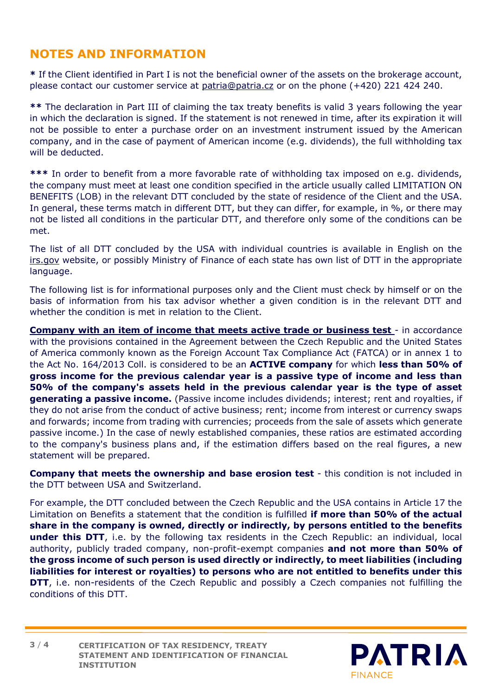# **NOTES AND INFORMATION**

**\*** If the Client identified in Part I is not the beneficial owner of the assets on the brokerage account, please contact our customer service at [patria@patria.cz](mailto:patria@patria.cz) or on the phone (+420) 221 424 240.

**\*\*** The declaration in Part III of claiming the tax treaty benefits is valid 3 years following the year in which the declaration is signed. If the statement is not renewed in time, after its expiration it will not be possible to enter a purchase order on an investment instrument issued by the American company, and in the case of payment of American income (e.g. dividends), the full withholding tax will be deducted.

**\*\*\*** In order to benefit from a more favorable rate of withholding tax imposed on e.g. dividends, the company must meet at least one condition specified in the article usually called LIMITATION ON BENEFITS (LOB) in the relevant DTT concluded by the state of residence of the Client and the USA. In general, these terms match in different DTT, but they can differ, for example, in %, or there may not be listed all conditions in the particular DTT, and therefore only some of the conditions can be met.

The list of all DTT concluded by the USA with individual countries is available in English on the [irs.gov](https://www.irs.gov/businesses/international-businesses/united-states-income-tax-treaties-a-to-z) website, or possibly Ministry of Finance of each state has own list of DTT in the appropriate language.

The following list is for informational purposes only and the Client must check by himself or on the basis of information from his tax advisor whether a given condition is in the relevant DTT and whether the condition is met in relation to the Client.

**Company with an item of income that meets active trade or business test - in accordance** with the provisions contained in the Agreement between the Czech Republic and the United States of America commonly known as the Foreign Account Tax Compliance Act (FATCA) or in annex 1 to the Act No. 164/2013 Coll. is considered to be an **ACTIVE company** for which **less than 50% of gross income for the previous calendar year is a passive type of income and less than 50% of the company's assets held in the previous calendar year is the type of asset generating a passive income.** (Passive income includes dividends; interest; rent and royalties, if they do not arise from the conduct of active business; rent; income from interest or currency swaps and forwards; income from trading with currencies; proceeds from the sale of assets which generate passive income.) In the case of newly established companies, these ratios are estimated according to the company's business plans and, if the estimation differs based on the real figures, a new statement will be prepared.

**Company that meets the ownership and base erosion test** - this condition is not included in the DTT between USA and Switzerland.

For example, the DTT concluded between the Czech Republic and the USA contains in Article 17 the Limitation on Benefits a statement that the condition is fulfilled **if more than 50% of the actual share in the company is owned, directly or indirectly, by persons entitled to the benefits under this DTT**, i.e. by the following tax residents in the Czech Republic: an individual, local authority, publicly traded company, non-profit-exempt companies **and not more than 50% of the gross income of such person is used directly or indirectly, to meet liabilities (including liabilities for interest or royalties) to persons who are not entitled to benefits under this DTT**, i.e. non-residents of the Czech Republic and possibly a Czech companies not fulfilling the conditions of this DTT.

**CERTIFICATION OF TAX RESIDENCY, TREATY STATEMENT AND IDENTIFICATION OF FINANCIAL INSTITUTION 3** / **4**